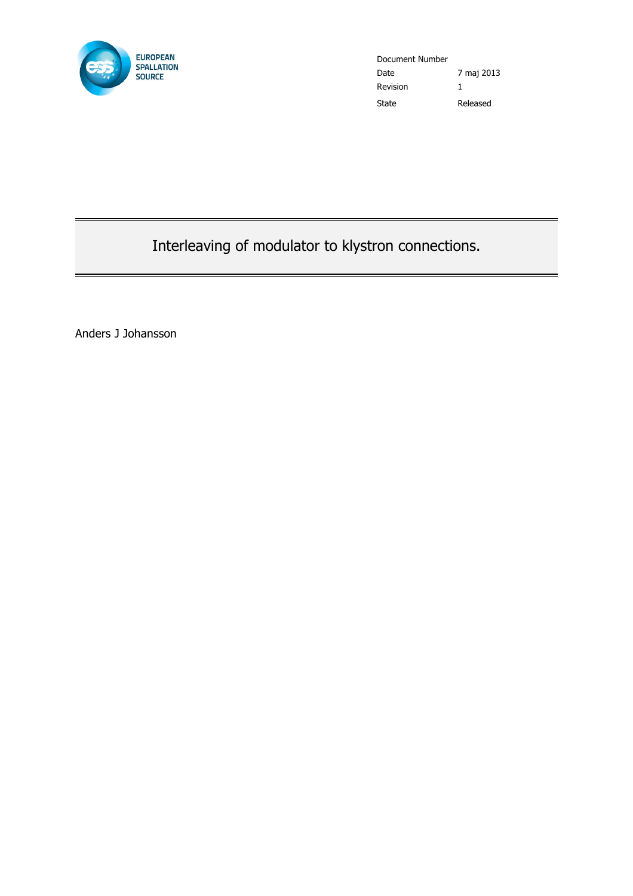

Document Number Date 7 maj 2013 Revision 1 State Released

Interleaving of modulator to klystron connections.

Anders J Johansson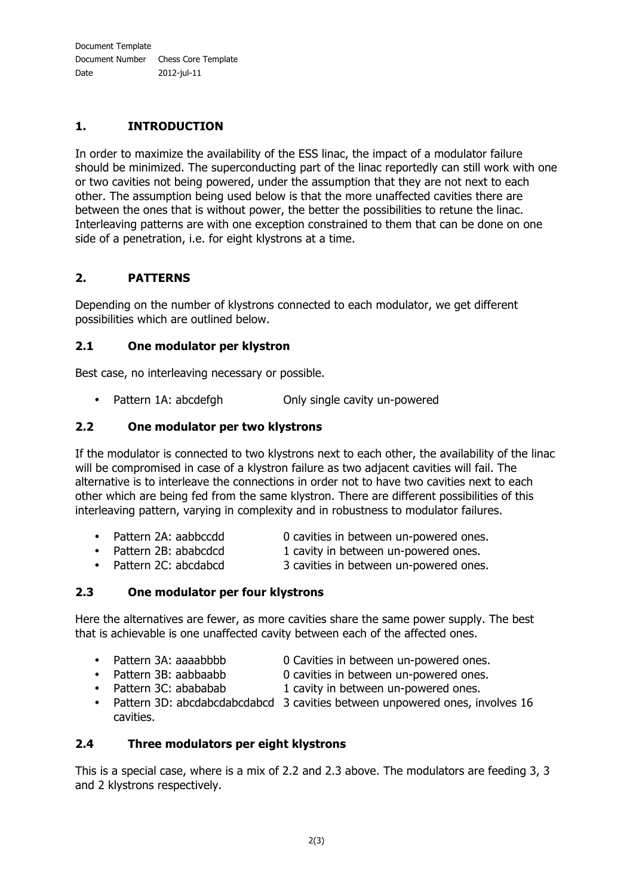## **1. INTRODUCTION**

In order to maximize the availability of the ESS linac, the impact of a modulator failure should be minimized. The superconducting part of the linac reportedly can still work with one or two cavities not being powered, under the assumption that they are not next to each other. The assumption being used below is that the more unaffected cavities there are between the ones that is without power, the better the possibilities to retune the linac. Interleaving patterns are with one exception constrained to them that can be done on one side of a penetration, i.e. for eight klystrons at a time.

## **2. PATTERNS**

Depending on the number of klystrons connected to each modulator, we get different possibilities which are outlined below.

#### **2.1 One modulator per klystron**

Best case, no interleaving necessary or possible.

• Pattern 1A: abcdefgh Only single cavity un-powered

#### **2.2 One modulator per two klystrons**

If the modulator is connected to two klystrons next to each other, the availability of the linac will be compromised in case of a klystron failure as two adjacent cavities will fail. The alternative is to interleave the connections in order not to have two cavities next to each other which are being fed from the same klystron. There are different possibilities of this interleaving pattern, varying in complexity and in robustness to modulator failures.

- Pattern 2A: aabbccdd 0 cavities in between un-powered ones.
- 
- 
- 
- Pattern 2B: ababcdcd 1 cavity in between un-powered ones.<br>• Pattern 2C: abcdabcd 3 cavities in between un-powered ones 3 cavities in between un-powered ones.

### **2.3 One modulator per four klystrons**

Here the alternatives are fewer, as more cavities share the same power supply. The best that is achievable is one unaffected cavity between each of the affected ones.

- 
- Pattern 3A: aaaabbbb 0 Cavities in between un-powered ones.<br>• Pattern 3B: aabbaabb 0 cavities in between un-powered ones.
- 
- 0 cavities in between un-powered ones. • Pattern 3C: abababab 1 cavity in between un-powered ones.
- Pattern 3D: abcdabcdabcdabcd 3 cavities between unpowered ones, involves 16 cavities.

#### **2.4 Three modulators per eight klystrons**

This is a special case, where is a mix of 2.2 and 2.3 above. The modulators are feeding 3, 3 and 2 klystrons respectively.